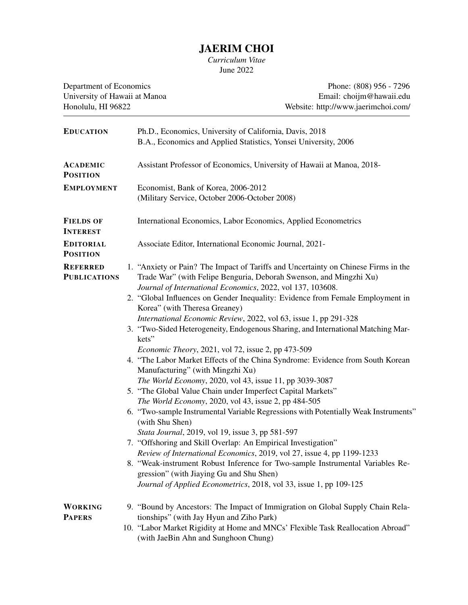## JAERIM CHOI

*Curriculum Vitae* June 2022

University of Hawaii at Manoa<br>Honolulu, HI 96822

Department of Economics<br>
University of Hawaii at Manoa<br>
Email: choijm@hawaii.edu<br>
Phone: (808) 956 - 7296 Website: http://www.jaerimchoi.com/

| <b>EDUCATION</b>                       | Ph.D., Economics, University of California, Davis, 2018<br>B.A., Economics and Applied Statistics, Yonsei University, 2006                               |  |
|----------------------------------------|----------------------------------------------------------------------------------------------------------------------------------------------------------|--|
| <b>ACADEMIC</b><br><b>POSITION</b>     | Assistant Professor of Economics, University of Hawaii at Manoa, 2018-                                                                                   |  |
| <b>EMPLOYMENT</b>                      | Economist, Bank of Korea, 2006-2012                                                                                                                      |  |
|                                        | (Military Service, October 2006-October 2008)                                                                                                            |  |
| <b>FIELDS OF</b><br><b>INTEREST</b>    | International Economics, Labor Economics, Applied Econometrics                                                                                           |  |
| <b>EDITORIAL</b><br><b>POSITION</b>    | Associate Editor, International Economic Journal, 2021-                                                                                                  |  |
| <b>REFERRED</b><br><b>PUBLICATIONS</b> | 1. "Anxiety or Pain? The Impact of Tariffs and Uncertainty on Chinese Firms in the<br>Trade War" (with Felipe Benguria, Deborah Swenson, and Mingzhi Xu) |  |
|                                        | Journal of International Economics, 2022, vol 137, 103608.                                                                                               |  |
|                                        | 2. "Global Influences on Gender Inequality: Evidence from Female Employment in<br>Korea" (with Theresa Greaney)                                          |  |
|                                        | International Economic Review, 2022, vol 63, issue 1, pp 291-328                                                                                         |  |
|                                        | 3. "Two-Sided Heterogeneity, Endogenous Sharing, and International Matching Mar-<br>kets"                                                                |  |
|                                        | <i>Economic Theory</i> , 2021, vol 72, issue 2, pp 473-509                                                                                               |  |
|                                        | 4. "The Labor Market Effects of the China Syndrome: Evidence from South Korean                                                                           |  |
|                                        | Manufacturing" (with Mingzhi Xu)                                                                                                                         |  |
|                                        | The World Economy, 2020, vol 43, issue 11, pp 3039-3087                                                                                                  |  |
|                                        | 5. "The Global Value Chain under Imperfect Capital Markets"                                                                                              |  |
|                                        | The World Economy, 2020, vol 43, issue 2, pp 484-505                                                                                                     |  |
|                                        | 6. "Two-sample Instrumental Variable Regressions with Potentially Weak Instruments"<br>(with Shu Shen)                                                   |  |
|                                        | Stata Journal, 2019, vol 19, issue 3, pp 581-597                                                                                                         |  |
|                                        | 7. "Offshoring and Skill Overlap: An Empirical Investigation"                                                                                            |  |
|                                        | Review of International Economics, 2019, vol 27, issue 4, pp 1199-1233                                                                                   |  |
|                                        | 8. "Weak-instrument Robust Inference for Two-sample Instrumental Variables Re-                                                                           |  |
|                                        | gression" (with Jiaying Gu and Shu Shen)<br>Journal of Applied Econometrics, 2018, vol 33, issue 1, pp 109-125                                           |  |
|                                        |                                                                                                                                                          |  |
| <b>WORKING</b>                         | 9. "Bound by Ancestors: The Impact of Immigration on Global Supply Chain Rela-                                                                           |  |
| <b>PAPERS</b>                          | tionships" (with Jay Hyun and Ziho Park)<br>10. "Labor Market Rigidity at Home and MNCs' Flexible Task Reallocation Abroad"                              |  |
|                                        | (with JaeBin Ahn and Sunghoon Chung)                                                                                                                     |  |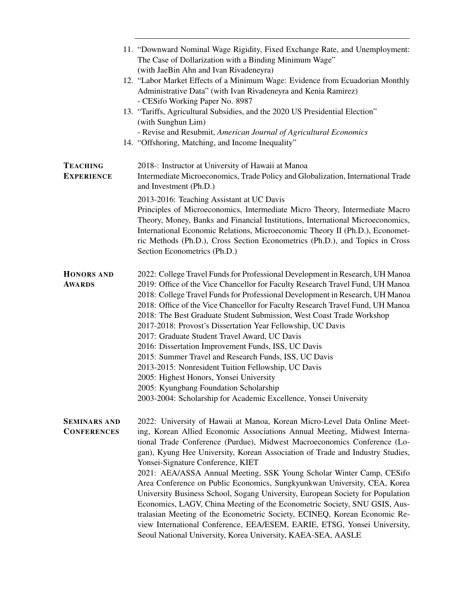|                                           | 11. "Downward Nominal Wage Rigidity, Fixed Exchange Rate, and Unemployment:<br>The Case of Dollarization with a Binding Minimum Wage"<br>(with JaeBin Ahn and Ivan Rivadeneyra)                                                                                                                                                                                                                                                                                                                                                                                                    |
|-------------------------------------------|------------------------------------------------------------------------------------------------------------------------------------------------------------------------------------------------------------------------------------------------------------------------------------------------------------------------------------------------------------------------------------------------------------------------------------------------------------------------------------------------------------------------------------------------------------------------------------|
|                                           | 12. "Labor Market Effects of a Minimum Wage: Evidence from Ecuadorian Monthly<br>Administrative Data" (with Ivan Rivadeneyra and Kenia Ramirez)<br>- CESifo Working Paper No. 8987                                                                                                                                                                                                                                                                                                                                                                                                 |
|                                           | 13. "Tariffs, Agricultural Subsidies, and the 2020 US Presidential Election"<br>(with Sunghun Lim)                                                                                                                                                                                                                                                                                                                                                                                                                                                                                 |
|                                           | - Revise and Resubmit, American Journal of Agricultural Economics<br>14. "Offshoring, Matching, and Income Inequality"                                                                                                                                                                                                                                                                                                                                                                                                                                                             |
| <b>TEACHING</b><br><b>EXPERIENCE</b>      | 2018 -: Instructor at University of Hawaii at Manoa<br>Intermediate Microeconomics, Trade Policy and Globalization, International Trade<br>and Investment (Ph.D.)                                                                                                                                                                                                                                                                                                                                                                                                                  |
|                                           | 2013-2016: Teaching Assistant at UC Davis<br>Principles of Microeconomics, Intermediate Micro Theory, Intermediate Macro<br>Theory, Money, Banks and Financial Institutions, International Microeconomics,<br>International Economic Relations, Microeconomic Theory II (Ph.D.), Economet-<br>ric Methods (Ph.D.), Cross Section Econometrics (Ph.D.), and Topics in Cross<br>Section Econometrics (Ph.D.)                                                                                                                                                                         |
| <b>HONORS AND</b><br><b>AWARDS</b>        | 2022: College Travel Funds for Professional Development in Research, UH Manoa<br>2019: Office of the Vice Chancellor for Faculty Research Travel Fund, UH Manoa<br>2018: College Travel Funds for Professional Development in Research, UH Manoa<br>2018: Office of the Vice Chancellor for Faculty Research Travel Fund, UH Manoa<br>2018: The Best Graduate Student Submission, West Coast Trade Workshop<br>2017-2018: Provost's Dissertation Year Fellowship, UC Davis<br>2017: Graduate Student Travel Award, UC Davis<br>2016: Dissertation Improvement Funds, ISS, UC Davis |
|                                           | 2015: Summer Travel and Research Funds, ISS, UC Davis<br>2013-2015: Nonresident Tuition Fellowship, UC Davis                                                                                                                                                                                                                                                                                                                                                                                                                                                                       |
|                                           | 2005: Highest Honors, Yonsei University<br>2005: Kyungbang Foundation Scholarship                                                                                                                                                                                                                                                                                                                                                                                                                                                                                                  |
|                                           | 2003-2004: Scholarship for Academic Excellence, Yonsei University                                                                                                                                                                                                                                                                                                                                                                                                                                                                                                                  |
| <b>SEMINARS AND</b><br><b>CONFERENCES</b> | 2022: University of Hawaii at Manoa, Korean Micro-Level Data Online Meet-<br>ing, Korean Allied Economic Associations Annual Meeting, Midwest Interna-<br>tional Trade Conference (Purdue), Midwest Macroeconomics Conference (Lo-<br>gan), Kyung Hee University, Korean Association of Trade and Industry Studies,<br>Yonsei-Signature Conference, KIET<br>2021: AEA/ASSA Annual Meeting, SSK Young Scholar Winter Camp, CESifo                                                                                                                                                   |
|                                           | Area Conference on Public Economics, Sungkyunkwan University, CEA, Korea<br>University Business School, Sogang University, European Society for Population<br>Economics, LAGV, China Meeting of the Econometric Society, SNU GSIS, Aus-<br>tralasian Meeting of the Econometric Society, ECINEQ, Korean Economic Re-<br>view International Conference, EEA/ESEM, EARIE, ETSG, Yonsei University,<br>Seoul National University, Korea University, KAEA-SEA, AASLE                                                                                                                   |